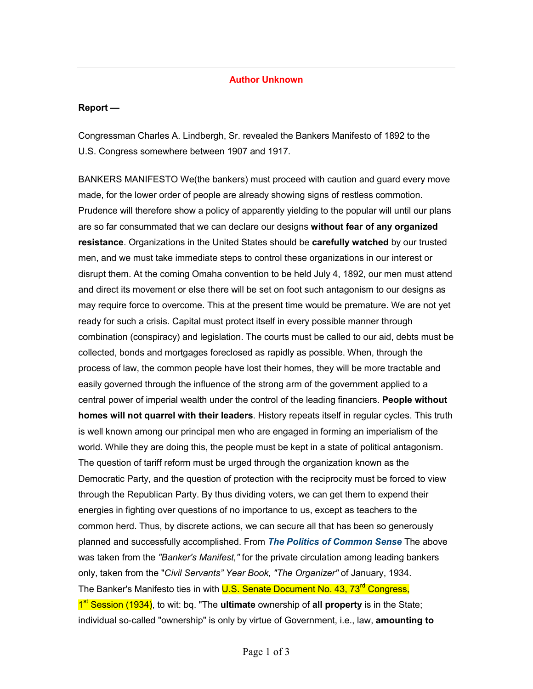## **Author Unknown**

## **Report —**

Congressman Charles A. Lindbergh, Sr. revealed the Bankers Manifesto of 1892 to the U.S. Congress somewhere between 1907 and 1917.

BANKERS MANIFESTO We(the bankers) must proceed with caution and guard every move made, for the lower order of people are already showing signs of restless commotion. Prudence will therefore show a policy of apparently yielding to the popular will until our plans are so far consummated that we can declare our designs **without fear of any organized resistance**. Organizations in the United States should be **carefully watched** by our trusted men, and we must take immediate steps to control these organizations in our interest or disrupt them. At the coming Omaha convention to be held July 4, 1892, our men must attend and direct its movement or else there will be set on foot such antagonism to our designs as may require force to overcome. This at the present time would be premature. We are not yet ready for such a crisis. Capital must protect itself in every possible manner through combination (conspiracy) and legislation. The courts must be called to our aid, debts must be collected, bonds and mortgages foreclosed as rapidly as possible. When, through the process of law, the common people have lost their homes, they will be more tractable and easily governed through the influence of the strong arm of the government applied to a central power of imperial wealth under the control of the leading financiers. **People without homes will not quarrel with their leaders**. History repeats itself in regular cycles. This truth is well known among our principal men who are engaged in forming an imperialism of the world. While they are doing this, the people must be kept in a state of political antagonism. The question of tariff reform must be urged through the organization known as the Democratic Party, and the question of protection with the reciprocity must be forced to view through the Republican Party. By thus dividing voters, we can get them to expend their energies in fighting over questions of no importance to us, except as teachers to the common herd. Thus, by discrete actions, we can secure all that has been so generously planned and successfully accomplished. From *The Politics of Common Sense* The above was taken from the *"Banker's Manifest,"* for the private circulation among leading bankers only, taken from the "*Civil Servants" Year Book, "The Organizer"* of January, 1934. The Banker's Manifesto ties in with U.S. Senate Document No. 43, 73<sup>rd</sup> Congress, 1 st Session (1934), to wit: bq. "The **ultimate** ownership of **all property** is in the State; individual so-called "ownership" is only by virtue of Government, i.e., law, **amounting to**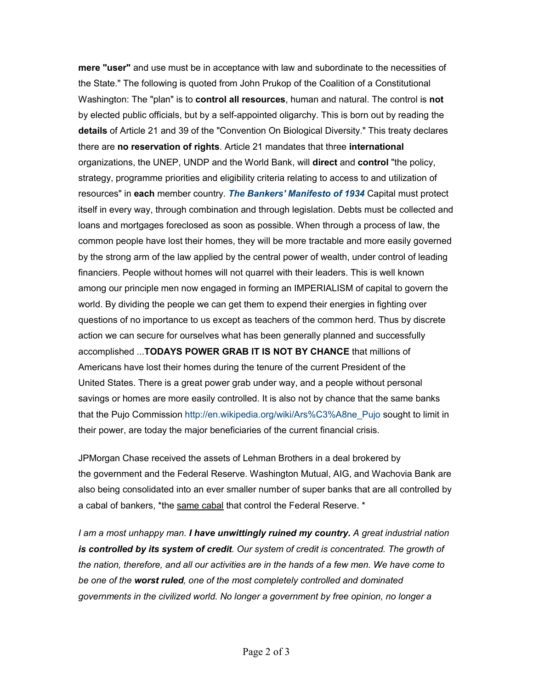**mere "user"** and use must be in acceptance with law and subordinate to the necessities of the State." The following is quoted from John Prukop of the Coalition of a Constitutional Washington: The "plan" is to **control all resources**, human and natural. The control is **not** by elected public officials, but by a self-appointed oligarchy. This is born out by reading the **details** of Article 21 and 39 of the "Convention On Biological Diversity." This treaty declares there are **no reservation of rights**. Article 21 mandates that three **international** organizations, the UNEP, UNDP and the World Bank, will **direct** and **control** "the policy, strategy, programme priorities and eligibility criteria relating to access to and utilization of resources" in **each** member country. *The Bankers' Manifesto of 1934* Capital must protect itself in every way, through combination and through legislation. Debts must be collected and loans and mortgages foreclosed as soon as possible. When through a process of law, the common people have lost their homes, they will be more tractable and more easily governed by the strong arm of the law applied by the central power of wealth, under control of leading financiers. People without homes will not quarrel with their leaders. This is well known among our principle men now engaged in forming an IMPERIALISM of capital to govern the world. By dividing the people we can get them to expend their energies in fighting over questions of no importance to us except as teachers of the common herd. Thus by discrete action we can secure for ourselves what has been generally planned and successfully accomplished ...**TODAYS POWER GRAB IT IS NOT BY CHANCE** that millions of Americans have lost their homes during the tenure of the current President of the United States. There is a great power grab under way, and a people without personal savings or homes are more easily controlled. It is also not by chance that the same banks that the Pujo Commission http://en.wikipedia.org/wiki/Ars%C3%A8ne\_Pujo sought to limit in their power, are today the major beneficiaries of the current financial crisis.

JPMorgan Chase received the assets of Lehman Brothers in a deal brokered by the government and the Federal Reserve. Washington Mutual, AIG, and Wachovia Bank are also being consolidated into an ever smaller number of super banks that are all controlled by a cabal of bankers, \*the same cabal that control the Federal Reserve. \*

*I am a most unhappy man. I have unwittingly ruined my country. A great industrial nation is controlled by its system of credit. Our system of credit is concentrated. The growth of the nation, therefore, and all our activities are in the hands of a few men. We have come to be one of the worst ruled, one of the most completely controlled and dominated governments in the civilized world. No longer a government by free opinion, no longer a*